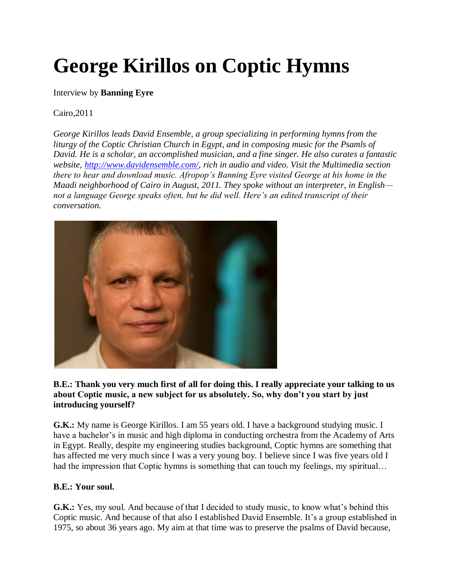# **George Kirillos on Coptic Hymns**

#### Interview by **Banning Eyre**

#### Cairo,2011

*George Kirillos leads David Ensemble, a group specializing in performing hymns from the liturgy of the Coptic Christian Church in Egypt, and in composing music for the Psamls of David. He is a scholar, an accomplished musician, and a fine singer. He also curates a fantastic website, [http://www.davidensemble.com/,](http://www.davidensemble.com/) rich in audio and video. Visit the Multimedia section there to hear and download music. Afropop's Banning Eyre visited George at his home in the Maadi neighborhood of Cairo in August, 2011. They spoke without an interpreter, in English not a language George speaks often, but he did well. Here's an edited transcript of their conversation.*



#### **B.E.: Thank you very much first of all for doing this. I really appreciate your talking to us about Coptic music, a new subject for us absolutely. So, why don't you start by just introducing yourself?**

**G.K.:** My name is George Kirillos. I am 55 years old. I have a background studying music. I have a bachelor's in music and high diploma in conducting orchestra from the Academy of Arts in Egypt. Really, despite my engineering studies background, Coptic hymns are something that has affected me very much since I was a very young boy. I believe since I was five years old I had the impression that Coptic hymns is something that can touch my feelings, my spiritual...

#### **B.E.: Your soul.**

**G.K.:** Yes, my soul. And because of that I decided to study music, to know what's behind this Coptic music. And because of that also I established David Ensemble. It's a group established in 1975, so about 36 years ago. My aim at that time was to preserve the psalms of David because,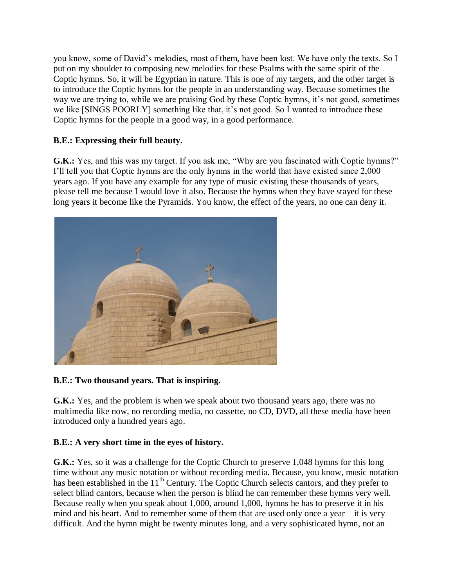you know, some of David's melodies, most of them, have been lost. We have only the texts. So I put on my shoulder to composing new melodies for these Psalms with the same spirit of the Coptic hymns. So, it will be Egyptian in nature. This is one of my targets, and the other target is to introduce the Coptic hymns for the people in an understanding way. Because sometimes the way we are trying to, while we are praising God by these Coptic hymns, it's not good, sometimes we like [SINGS POORLY] something like that, it's not good. So I wanted to introduce these Coptic hymns for the people in a good way, in a good performance.

## **B.E.: Expressing their full beauty.**

**G.K.:** Yes, and this was my target. If you ask me, "Why are you fascinated with Coptic hymns?" I'll tell you that Coptic hymns are the only hymns in the world that have existed since 2,000 years ago. If you have any example for any type of music existing these thousands of years, please tell me because I would love it also. Because the hymns when they have stayed for these long years it become like the Pyramids. You know, the effect of the years, no one can deny it.



# **B.E.: Two thousand years. That is inspiring.**

**G.K.:** Yes, and the problem is when we speak about two thousand years ago, there was no multimedia like now, no recording media, no cassette, no CD, DVD, all these media have been introduced only a hundred years ago.

## **B.E.: A very short time in the eyes of history.**

**G.K.:** Yes, so it was a challenge for the Coptic Church to preserve 1,048 hymns for this long time without any music notation or without recording media. Because, you know, music notation has been established in the  $11<sup>th</sup>$  Century. The Coptic Church selects cantors, and they prefer to select blind cantors, because when the person is blind he can remember these hymns very well. Because really when you speak about 1,000, around 1,000, hymns he has to preserve it in his mind and his heart. And to remember some of them that are used only once a year—it is very difficult. And the hymn might be twenty minutes long, and a very sophisticated hymn, not an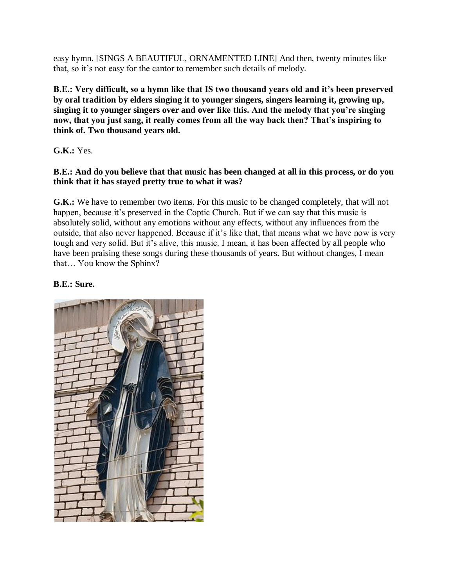easy hymn. [SINGS A BEAUTIFUL, ORNAMENTED LINE] And then, twenty minutes like that, so it's not easy for the cantor to remember such details of melody.

**B.E.: Very difficult, so a hymn like that IS two thousand years old and it's been preserved by oral tradition by elders singing it to younger singers, singers learning it, growing up, singing it to younger singers over and over like this. And the melody that you're singing now, that you just sang, it really comes from all the way back then? That's inspiring to think of. Two thousand years old.**

**G.K.:** Yes.

## **B.E.: And do you believe that that music has been changed at all in this process, or do you think that it has stayed pretty true to what it was?**

**G.K.:** We have to remember two items. For this music to be changed completely, that will not happen, because it's preserved in the Coptic Church. But if we can say that this music is absolutely solid, without any emotions without any effects, without any influences from the outside, that also never happened. Because if it's like that, that means what we have now is very tough and very solid. But it's alive, this music. I mean, it has been affected by all people who have been praising these songs during these thousands of years. But without changes, I mean that… You know the Sphinx?

# **B.E.: Sure.**

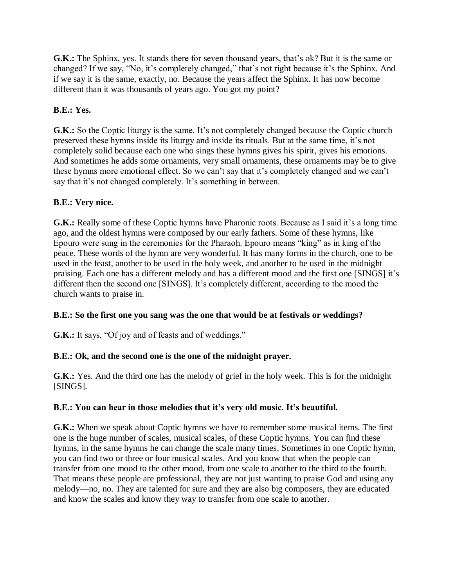**G.K.:** The Sphinx, yes. It stands there for seven thousand years, that's ok? But it is the same or changed? If we say, "No, it's completely changed," that's not right because it's the Sphinx. And if we say it is the same, exactly, no. Because the years affect the Sphinx. It has now become different than it was thousands of years ago. You got my point?

## **B.E.: Yes.**

**G.K.:** So the Coptic liturgy is the same. It's not completely changed because the Coptic church preserved these hymns inside its liturgy and inside its rituals. But at the same time, it's not completely solid because each one who sings these hymns gives his spirit, gives his emotions. And sometimes he adds some ornaments, very small ornaments, these ornaments may be to give these hymns more emotional effect. So we can't say that it's completely changed and we can't say that it's not changed completely. It's something in between.

## **B.E.: Very nice.**

**G.K.:** Really some of these Coptic hymns have Pharonic roots. Because as I said it's a long time ago, and the oldest hymns were composed by our early fathers. Some of these hymns, like Epouro were sung in the ceremonies for the Pharaoh. Epouro means "king" as in king of the peace. These words of the hymn are very wonderful. It has many forms in the church, one to be used in the feast, another to be used in the holy week, and another to be used in the midnight praising. Each one has a different melody and has a different mood and the first one [SINGS] it's different then the second one [SINGS]. It's completely different, according to the mood the church wants to praise in.

## **B.E.: So the first one you sang was the one that would be at festivals or weddings?**

**G.K.:** It says, "Of joy and of feasts and of weddings."

## **B.E.: Ok, and the second one is the one of the midnight prayer.**

**G.K.:** Yes. And the third one has the melody of grief in the holy week. This is for the midnight [SINGS].

## **B.E.: You can hear in those melodies that it's very old music. It's beautiful.**

**G.K.:** When we speak about Coptic hymns we have to remember some musical items. The first one is the huge number of scales, musical scales, of these Coptic hymns. You can find these hymns, in the same hymns he can change the scale many times. Sometimes in one Coptic hymn, you can find two or three or four musical scales. And you know that when the people can transfer from one mood to the other mood, from one scale to another to the third to the fourth. That means these people are professional, they are not just wanting to praise God and using any melody—no, no. They are talented for sure and they are also big composers, they are educated and know the scales and know they way to transfer from one scale to another.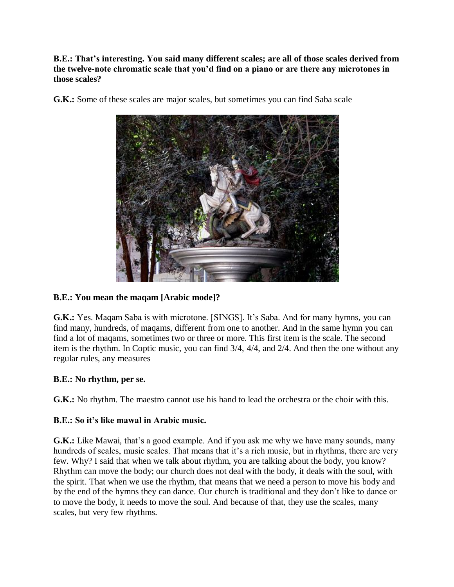**B.E.: That's interesting. You said many different scales; are all of those scales derived from the twelve-note chromatic scale that you'd find on a piano or are there any microtones in those scales?**



**G.K.:** Some of these scales are major scales, but sometimes you can find Saba scale

## **B.E.: You mean the maqam [Arabic mode]?**

**G.K.:** Yes. Maqam Saba is with microtone. [SINGS]. It's Saba. And for many hymns, you can find many, hundreds, of maqams, different from one to another. And in the same hymn you can find a lot of maqams, sometimes two or three or more. This first item is the scale. The second item is the rhythm. In Coptic music, you can find 3/4, 4/4, and 2/4. And then the one without any regular rules, any measures

#### **B.E.: No rhythm, per se.**

**G.K.:** No rhythm. The maestro cannot use his hand to lead the orchestra or the choir with this.

#### **B.E.: So it's like mawal in Arabic music.**

**G.K.:** Like Mawai, that's a good example. And if you ask me why we have many sounds, many hundreds of scales, music scales. That means that it's a rich music, but in rhythms, there are very few. Why? I said that when we talk about rhythm, you are talking about the body, you know? Rhythm can move the body; our church does not deal with the body, it deals with the soul, with the spirit. That when we use the rhythm, that means that we need a person to move his body and by the end of the hymns they can dance. Our church is traditional and they don't like to dance or to move the body, it needs to move the soul. And because of that, they use the scales, many scales, but very few rhythms.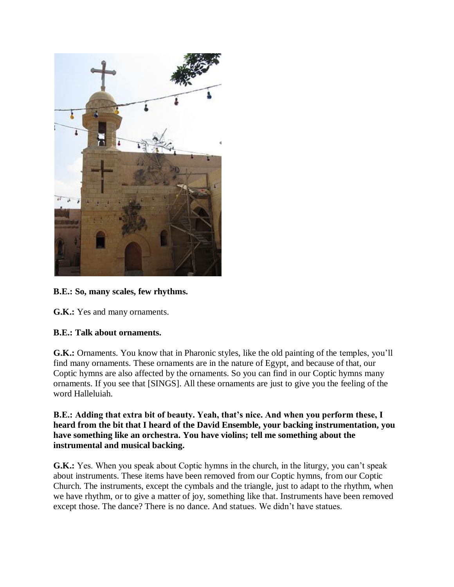

# **B.E.: So, many scales, few rhythms.**

**G.K.:** Yes and many ornaments.

#### **B.E.: Talk about ornaments.**

**G.K.:** Ornaments. You know that in Pharonic styles, like the old painting of the temples, you'll find many ornaments. These ornaments are in the nature of Egypt, and because of that, our Coptic hymns are also affected by the ornaments. So you can find in our Coptic hymns many ornaments. If you see that [SINGS]. All these ornaments are just to give you the feeling of the word Halleluiah.

**B.E.: Adding that extra bit of beauty. Yeah, that's nice. And when you perform these, I heard from the bit that I heard of the David Ensemble, your backing instrumentation, you have something like an orchestra. You have violins; tell me something about the instrumental and musical backing.**

**G.K.:** Yes. When you speak about Coptic hymns in the church, in the liturgy, you can't speak about instruments. These items have been removed from our Coptic hymns, from our Coptic Church. The instruments, except the cymbals and the triangle, just to adapt to the rhythm, when we have rhythm, or to give a matter of joy, something like that. Instruments have been removed except those. The dance? There is no dance. And statues. We didn't have statues.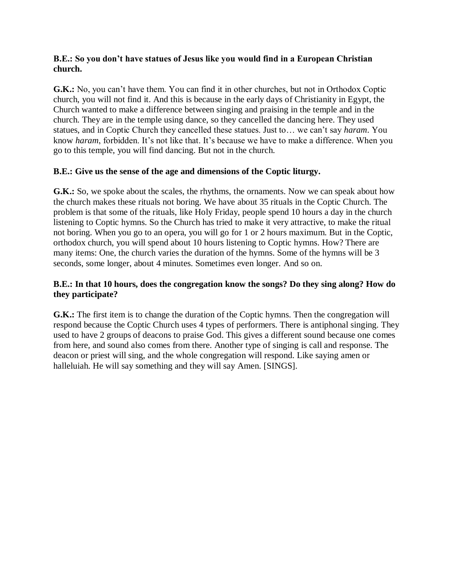#### **B.E.: So you don't have statues of Jesus like you would find in a European Christian church.**

**G.K.:** No, you can't have them. You can find it in other churches, but not in Orthodox Coptic church, you will not find it. And this is because in the early days of Christianity in Egypt, the Church wanted to make a difference between singing and praising in the temple and in the church. They are in the temple using dance, so they cancelled the dancing here. They used statues, and in Coptic Church they cancelled these statues. Just to… we can't say *haram*. You know *haram*, forbidden. It's not like that. It's because we have to make a difference. When you go to this temple, you will find dancing. But not in the church.

#### **B.E.: Give us the sense of the age and dimensions of the Coptic liturgy.**

G.K.: So, we spoke about the scales, the rhythms, the ornaments. Now we can speak about how the church makes these rituals not boring. We have about 35 rituals in the Coptic Church. The problem is that some of the rituals, like Holy Friday, people spend 10 hours a day in the church listening to Coptic hymns. So the Church has tried to make it very attractive, to make the ritual not boring. When you go to an opera, you will go for 1 or 2 hours maximum. But in the Coptic, orthodox church, you will spend about 10 hours listening to Coptic hymns. How? There are many items: One, the church varies the duration of the hymns. Some of the hymns will be 3 seconds, some longer, about 4 minutes. Sometimes even longer. And so on.

#### **B.E.: In that 10 hours, does the congregation know the songs? Do they sing along? How do they participate?**

**G.K.:** The first item is to change the duration of the Coptic hymns. Then the congregation will respond because the Coptic Church uses 4 types of performers. There is antiphonal singing. They used to have 2 groups of deacons to praise God. This gives a different sound because one comes from here, and sound also comes from there. Another type of singing is call and response. The deacon or priest will sing, and the whole congregation will respond. Like saying amen or halleluiah. He will say something and they will say Amen. [SINGS].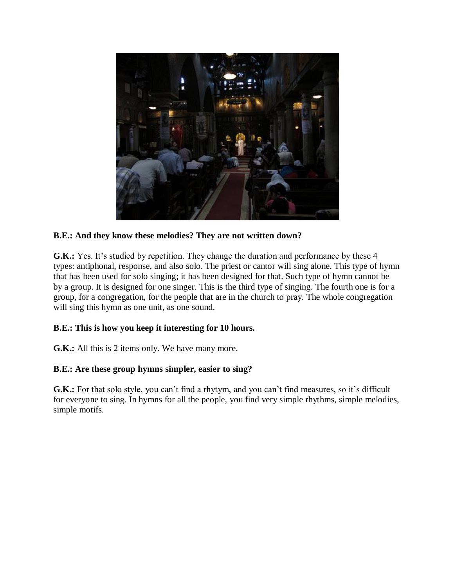

## **B.E.: And they know these melodies? They are not written down?**

**G.K.:** Yes. It's studied by repetition. They change the duration and performance by these 4 types: antiphonal, response, and also solo. The priest or cantor will sing alone. This type of hymn that has been used for solo singing; it has been designed for that. Such type of hymn cannot be by a group. It is designed for one singer. This is the third type of singing. The fourth one is for a group, for a congregation, for the people that are in the church to pray. The whole congregation will sing this hymn as one unit, as one sound.

#### **B.E.: This is how you keep it interesting for 10 hours.**

**G.K.:** All this is 2 items only. We have many more.

#### **B.E.: Are these group hymns simpler, easier to sing?**

**G.K.:** For that solo style, you can't find a rhytym, and you can't find measures, so it's difficult for everyone to sing. In hymns for all the people, you find very simple rhythms, simple melodies, simple motifs.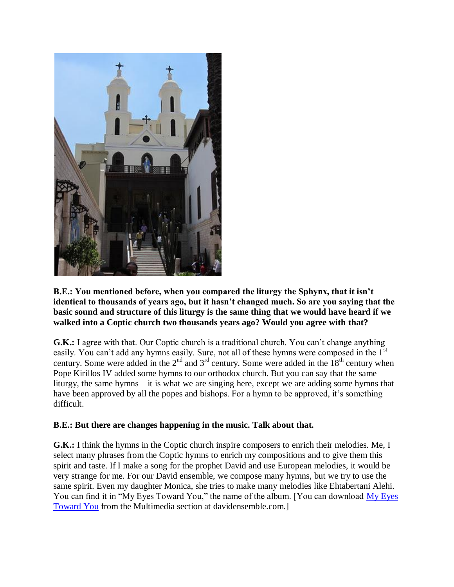

**B.E.: You mentioned before, when you compared the liturgy the Sphynx, that it isn't identical to thousands of years ago, but it hasn't changed much. So are you saying that the basic sound and structure of this liturgy is the same thing that we would have heard if we walked into a Coptic church two thousands years ago? Would you agree with that?**

**G.K.:** I agree with that. Our Coptic church is a traditional church. You can't change anything easily. You can't add any hymns easily. Sure, not all of these hymns were composed in the 1<sup>st</sup> century. Some were added in the  $2<sup>nd</sup>$  and  $3<sup>rd</sup>$  century. Some were added in the  $18<sup>th</sup>$  century when Pope Kirillos IV added some hymns to our orthodox church. But you can say that the same liturgy, the same hymns—it is what we are singing here, except we are adding some hymns that have been approved by all the popes and bishops. For a hymn to be approved, it's something difficult.

#### **B.E.: But there are changes happening in the music. Talk about that.**

**G.K.:** I think the hymns in the Coptic church inspire composers to enrich their melodies. Me, I select many phrases from the Coptic hymns to enrich my compositions and to give them this spirit and taste. If I make a song for the prophet David and use European melodies, it would be very strange for me. For our David ensemble, we compose many hymns, but we try to use the same spirit. Even my daughter Monica, she tries to make many melodies like Ehtabertani Alehi. You can find it in "My Eyes Toward You," the name of the album. [You can download My Eyes [Toward You](http://www.davidensemble.com/english/multimedia/myeyes.htm) from the Multimedia section at davidensemble.com.]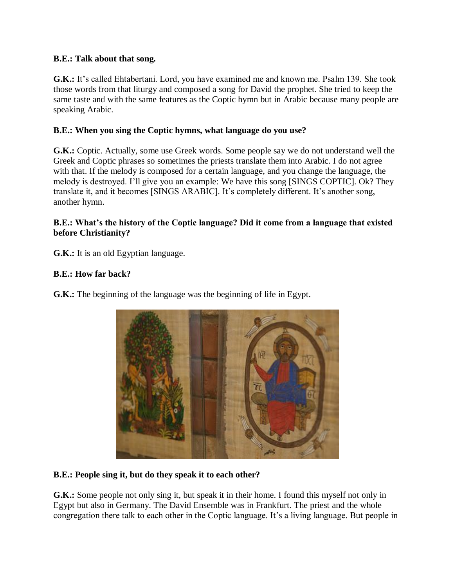#### **B.E.: Talk about that song.**

**G.K.:** It's called Ehtabertani. Lord, you have examined me and known me. Psalm 139. She took those words from that liturgy and composed a song for David the prophet. She tried to keep the same taste and with the same features as the Coptic hymn but in Arabic because many people are speaking Arabic.

#### **B.E.: When you sing the Coptic hymns, what language do you use?**

**G.K.:** Coptic. Actually, some use Greek words. Some people say we do not understand well the Greek and Coptic phrases so sometimes the priests translate them into Arabic. I do not agree with that. If the melody is composed for a certain language, and you change the language, the melody is destroyed. I'll give you an example: We have this song [SINGS COPTIC]. Ok? They translate it, and it becomes [SINGS ARABIC]. It's completely different. It's another song, another hymn.

#### **B.E.: What's the history of the Coptic language? Did it come from a language that existed before Christianity?**

**G.K.:** It is an old Egyptian language.

#### **B.E.: How far back?**

**G.K.:** The beginning of the language was the beginning of life in Egypt.



#### **B.E.: People sing it, but do they speak it to each other?**

**G.K.:** Some people not only sing it, but speak it in their home. I found this myself not only in Egypt but also in Germany. The David Ensemble was in Frankfurt. The priest and the whole congregation there talk to each other in the Coptic language. It's a living language. But people in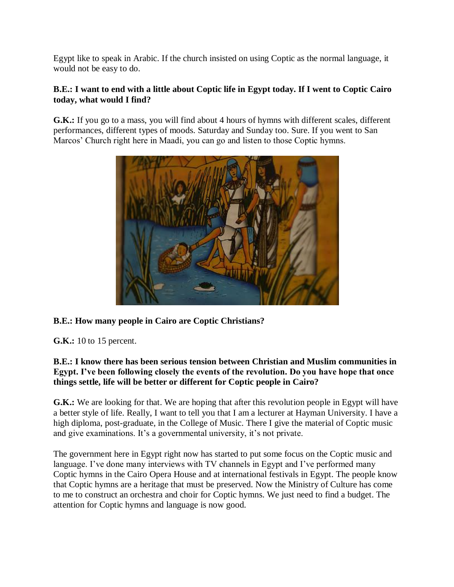Egypt like to speak in Arabic. If the church insisted on using Coptic as the normal language, it would not be easy to do.

## **B.E.: I want to end with a little about Coptic life in Egypt today. If I went to Coptic Cairo today, what would I find?**

**G.K.:** If you go to a mass, you will find about 4 hours of hymns with different scales, different performances, different types of moods. Saturday and Sunday too. Sure. If you went to San Marcos' Church right here in Maadi, you can go and listen to those Coptic hymns.



# **B.E.: How many people in Cairo are Coptic Christians?**

**G.K.:** 10 to 15 percent.

## **B.E.: I know there has been serious tension between Christian and Muslim communities in Egypt. I've been following closely the events of the revolution. Do you have hope that once things settle, life will be better or different for Coptic people in Cairo?**

**G.K.:** We are looking for that. We are hoping that after this revolution people in Egypt will have a better style of life. Really, I want to tell you that I am a lecturer at Hayman University. I have a high diploma, post-graduate, in the College of Music. There I give the material of Coptic music and give examinations. It's a governmental university, it's not private.

The government here in Egypt right now has started to put some focus on the Coptic music and language. I've done many interviews with TV channels in Egypt and I've performed many Coptic hymns in the Cairo Opera House and at international festivals in Egypt. The people know that Coptic hymns are a heritage that must be preserved. Now the Ministry of Culture has come to me to construct an orchestra and choir for Coptic hymns. We just need to find a budget. The attention for Coptic hymns and language is now good.